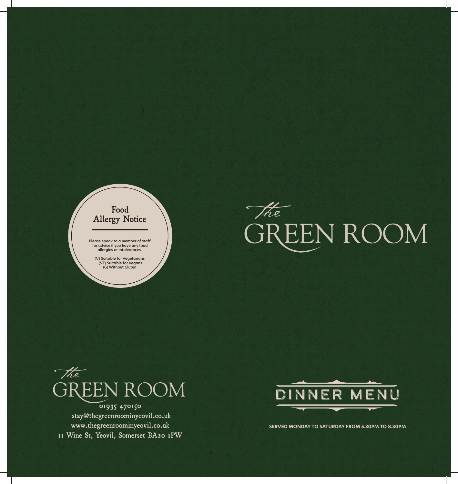





01935 470150 stay@thegreenroominyeovil.co.uk www.thegreenroominyeovil.co.uk 11 Wine St, Yeovil, Somerset BA20 1PW



**SERVED MONDAY TO SATURDAY FROM 5.30PM TO 8.30PM**